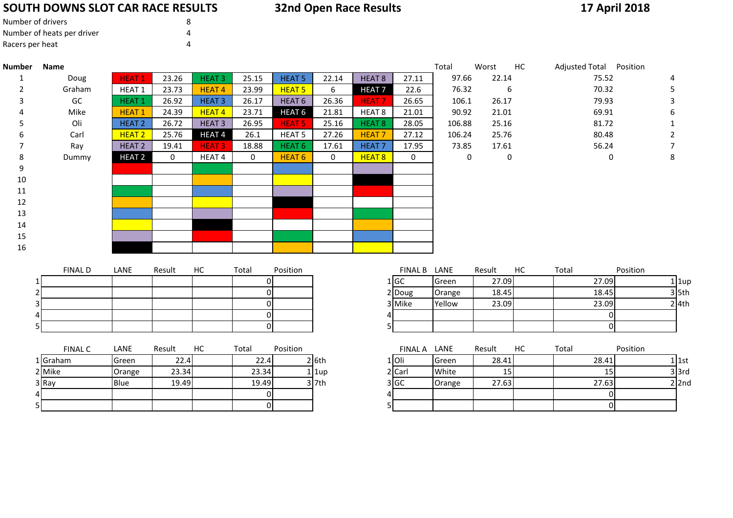# **SOUTH DOWNS SLOT CAR RACE RESULTS**

# **32nd Open Race Results**

# **17 April 2018**

| Number of drivers          | 8 |
|----------------------------|---|
| Number of heats per driver |   |
| Racers per heat            |   |

| <b>Number</b> | Name           |                   |              |                   |                |                   |             |                   |              | Total       | Worst            | HC | Adjusted Total Position |                |          |           |
|---------------|----------------|-------------------|--------------|-------------------|----------------|-------------------|-------------|-------------------|--------------|-------------|------------------|----|-------------------------|----------------|----------|-----------|
| 1             | Doug           | <b>HEAT1</b>      | 23.26        | <b>HEAT3</b>      | 25.15          | <b>HEAT 5</b>     | 22.14       | HEAT <sub>8</sub> | 27.11        | 97.66       | 22.14            |    |                         | 75.52          |          |           |
| 2             | Graham         | HEAT <sub>1</sub> | 23.73        | <b>HEAT4</b>      | 23.99          | <b>HEAT 5</b>     | 6           | <b>HEAT7</b>      | 22.6         | 76.32       | 6                |    |                         | 70.32          |          | 5         |
| 3             | GC             | <b>HEAT1</b>      | 26.92        | <b>HEAT 3</b>     | 26.17          | HEAT <sub>6</sub> | 26.36       | <b>HEAT7</b>      | 26.65        | 106.1       | 26.17            |    |                         | 79.93          |          |           |
|               | Mike           | <b>HEAT1</b>      | 24.39        | HEAT <sub>4</sub> | 23.71          | HEAT <sub>6</sub> | 21.81       | HEAT 8            | 21.01        | 90.92       | 21.01            |    |                         | 69.91          |          | 6         |
|               | Oli            | <b>HEAT 2</b>     | 26.72        | <b>HEAT3</b>      | 26.95          | <b>HEAT 5</b>     | 25.16       | HEAT <sub>8</sub> | 28.05        | 106.88      | 25.16            |    |                         | 81.72          |          |           |
|               | Carl           | HEAT <sub>2</sub> | 25.76        | <b>HEAT4</b>      | 26.1           | HEAT <sub>5</sub> | 27.26       | <b>HEAT7</b>      | 27.12        | 106.24      | 25.76            |    |                         | 80.48          |          |           |
|               | Ray            | HEAT <sub>2</sub> | 19.41        | <b>HEAT3</b>      | 18.88          | HEAT <sub>6</sub> | 17.61       | HEAT <sub>7</sub> | 17.95        | 73.85       | 17.61            |    |                         | 56.24          |          |           |
| 8             | Dummy          | HEAT <sub>2</sub> | $\mathbf{0}$ | HEAT <sub>4</sub> | $\mathbf 0$    | HEAT <sub>6</sub> | $\mathbf 0$ | HEAT 8            | $\mathbf 0$  | $\mathbf 0$ | $\boldsymbol{0}$ |    |                         | 0              |          | 8         |
| 9             |                |                   |              |                   |                |                   |             |                   |              |             |                  |    |                         |                |          |           |
| 10            |                |                   |              |                   |                |                   |             |                   |              |             |                  |    |                         |                |          |           |
| 11            |                |                   |              |                   |                |                   |             |                   |              |             |                  |    |                         |                |          |           |
| 12            |                |                   |              |                   |                |                   |             |                   |              |             |                  |    |                         |                |          |           |
| 13            |                |                   |              |                   |                |                   |             |                   |              |             |                  |    |                         |                |          |           |
| 14            |                |                   |              |                   |                |                   |             |                   |              |             |                  |    |                         |                |          |           |
| 15            |                |                   |              |                   |                |                   |             |                   |              |             |                  |    |                         |                |          |           |
| 16            |                |                   |              |                   |                |                   |             |                   |              |             |                  |    |                         |                |          |           |
|               |                |                   |              |                   |                |                   |             |                   |              |             |                  |    |                         |                |          |           |
|               | <b>FINAL D</b> | LANE              | Result       | HC                | Total          | Position          |             |                   | FINAL B LANE |             | Result           | HC | Total                   |                | Position |           |
|               |                |                   |              |                   | <sub>0</sub>   |                   |             |                   | 1 GC         | Green       | 27.09            |    |                         | 27.09          |          | $1$   1up |
|               |                |                   |              |                   | 0              |                   |             |                   | 2 Doug       | Orange      | 18.45            |    |                         | 18.45          |          | $3$ 5th   |
|               |                |                   |              |                   | $\overline{0}$ |                   |             |                   | 3 Mike       | Yellow      | 23.09            |    |                         | 23.09          |          | $2$ 4th   |
|               |                |                   |              |                   | $\overline{0}$ |                   |             |                   |              |             |                  |    |                         | $\overline{0}$ |          |           |
|               |                |                   |              |                   | $\overline{0}$ |                   |             | 5                 |              |             |                  |    |                         | $\overline{0}$ |          |           |
|               | <b>FINAL C</b> | LANE              | Result       | HC                | Total          | Position          |             |                   | FINAL A LANE |             | Result           | HC | Total                   |                | Position |           |
|               | 1 Graham       | Green             | 22.4         |                   | 22.4           |                   | 2 6th       |                   | $1$ Oli      | Green       | 28.41            |    |                         | 28.41          |          | $1$ 1st   |
|               | 2 Mike         | Orange            | 23.34        |                   | 23.34          |                   | $1$ $1$ up  |                   | 2 Carl       | White       | 15               |    |                         | 15             |          | $3$ $3rd$ |
|               | 3 Ray          | Blue              | 19.49        |                   | 19.49          |                   | $3$ 7th     |                   | 3 GC         | Orange      | 27.63            |    |                         | 27.63          |          | $2$  2nd  |
|               |                |                   |              |                   | 01             |                   |             | 41                |              |             |                  |    |                         | $\overline{0}$ |          |           |
|               |                |                   |              |                   | $\Omega$       |                   |             | 5                 |              |             |                  |    |                         | $\overline{0}$ |          |           |
|               |                |                   |              |                   |                |                   |             |                   |              |             |                  |    |                         |                |          |           |